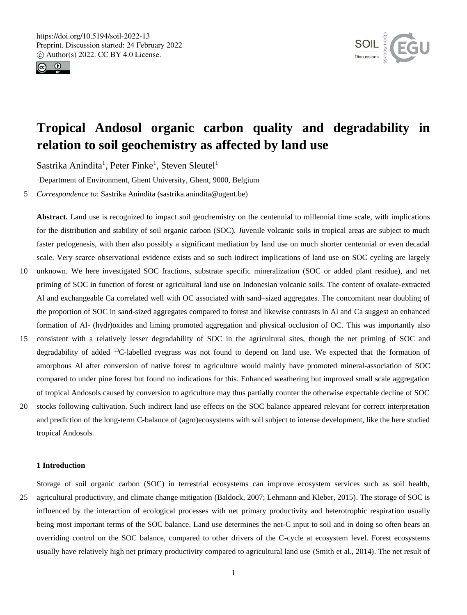



# **Tropical Andosol organic carbon quality and degradability in relation to soil geochemistry as affected by land use**

Sastrika Anindita<sup>1</sup>, Peter Finke<sup>1</sup>, Steven Sleutel<sup>1</sup>

<sup>1</sup>Department of Environment, Ghent University, Ghent, 9000, Belgium

5 *Correspondence to*: Sastrika Anindita (sastrika.anindita@ugent.be)

**Abstract.** Land use is recognized to impact soil geochemistry on the centennial to millennial time scale, with implications for the distribution and stability of soil organic carbon (SOC). Juvenile volcanic soils in tropical areas are subject to much faster pedogenesis, with then also possibly a significant mediation by land use on much shorter centennial or even decadal scale. Very scarce observational evidence exists and so such indirect implications of land use on SOC cycling are largely 10 unknown. We here investigated SOC fractions, substrate specific mineralization (SOC or added plant residue), and net

- priming of SOC in function of forest or agricultural land use on Indonesian volcanic soils. The content of oxalate-extracted Al and exchangeable Ca correlated well with OC associated with sand–sized aggregates. The concomitant near doubling of the proportion of SOC in sand-sized aggregates compared to forest and likewise contrasts in Al and Ca suggest an enhanced formation of Al- (hydr)oxides and liming promoted aggregation and physical occlusion of OC. This was importantly also
- 15 consistent with a relatively lesser degradability of SOC in the agricultural sites, though the net priming of SOC and degradability of added <sup>13</sup>C-labelled ryegrass was not found to depend on land use. We expected that the formation of amorphous Al after conversion of native forest to agriculture would mainly have promoted mineral-association of SOC compared to under pine forest but found no indications for this. Enhanced weathering but improved small scale aggregation of tropical Andosols caused by conversion to agriculture may thus partially counter the otherwise expectable decline of SOC
- 20 stocks following cultivation. Such indirect land use effects on the SOC balance appeared relevant for correct interpretation and prediction of the long-term C-balance of (agro)ecosystems with soil subject to intense development, like the here studied tropical Andosols.

# **1 Introduction**

Storage of soil organic carbon (SOC) in terrestrial ecosystems can improve ecosystem services such as soil health, 25 agricultural productivity, and climate change mitigation (Baldock, 2007; Lehmann and Kleber, 2015). The storage of SOC is influenced by the interaction of ecological processes with net primary productivity and heterotrophic respiration usually being most important terms of the SOC balance. Land use determines the net-C input to soil and in doing so often bears an overriding control on the SOC balance, compared to other drivers of the C-cycle at ecosystem level. Forest ecosystems usually have relatively high net primary productivity compared to agricultural land use (Smith et al., 2014). The net result of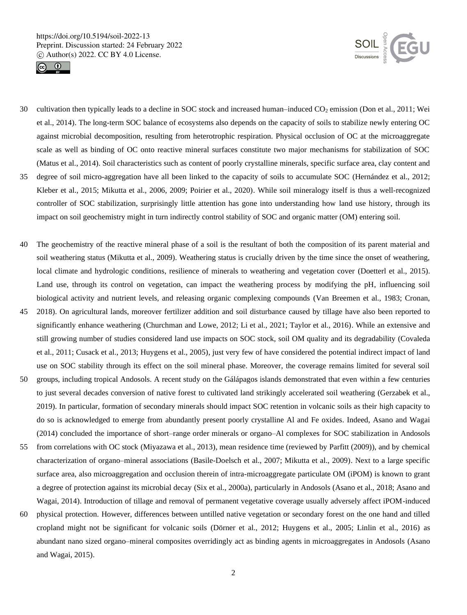



- 30 cultivation then typically leads to a decline in SOC stock and increased human–induced  $CO<sub>2</sub>$  emission (Don et al., 2011; Wei et al., 2014). The long-term SOC balance of ecosystems also depends on the capacity of soils to stabilize newly entering OC against microbial decomposition, resulting from heterotrophic respiration. Physical occlusion of OC at the microaggregate scale as well as binding of OC onto reactive mineral surfaces constitute two major mechanisms for stabilization of SOC (Matus et al., 2014). Soil characteristics such as content of poorly crystalline minerals, specific surface area, clay content and 35 degree of soil micro-aggregation have all been linked to the capacity of soils to accumulate SOC (Hernández et al., 2012;
- Kleber et al., 2015; Mikutta et al., 2006, 2009; Poirier et al., 2020). While soil mineralogy itself is thus a well-recognized controller of SOC stabilization, surprisingly little attention has gone into understanding how land use history, through its impact on soil geochemistry might in turn indirectly control stability of SOC and organic matter (OM) entering soil.
- 40 The geochemistry of the reactive mineral phase of a soil is the resultant of both the composition of its parent material and soil weathering status (Mikutta et al., 2009). Weathering status is crucially driven by the time since the onset of weathering, local climate and hydrologic conditions, resilience of minerals to weathering and vegetation cover (Doetterl et al., 2015). Land use, through its control on vegetation, can impact the weathering process by modifying the pH, influencing soil biological activity and nutrient levels, and releasing organic complexing compounds (Van Breemen et al., 1983; Cronan,
- 45 2018). On agricultural lands, moreover fertilizer addition and soil disturbance caused by tillage have also been reported to significantly enhance weathering (Churchman and Lowe, 2012; Li et al., 2021; Taylor et al., 2016). While an extensive and still growing number of studies considered land use impacts on SOC stock, soil OM quality and its degradability (Covaleda et al., 2011; Cusack et al., 2013; Huygens et al., 2005), just very few of have considered the potential indirect impact of land use on SOC stability through its effect on the soil mineral phase. Moreover, the coverage remains limited for several soil
- 50 groups, including tropical Andosols. A recent study on the Gálápagos islands demonstrated that even within a few centuries to just several decades conversion of native forest to cultivated land strikingly accelerated soil weathering (Gerzabek et al., 2019). In particular, formation of secondary minerals should impact SOC retention in volcanic soils as their high capacity to do so is acknowledged to emerge from abundantly present poorly crystalline Al and Fe oxides. Indeed, Asano and Wagai (2014) concluded the importance of short–range order minerals or organo–Al complexes for SOC stabilization in Andosols
- 55 from correlations with OC stock (Miyazawa et al., 2013), mean residence time (reviewed by Parfitt (2009)), and by chemical characterization of organo–mineral associations (Basile-Doelsch et al., 2007; Mikutta et al., 2009). Next to a large specific surface area, also microaggregation and occlusion therein of intra-microaggregate particulate OM (iPOM) is known to grant a degree of protection against its microbial decay (Six et al., 2000a), particularly in Andosols (Asano et al., 2018; Asano and Wagai, 2014). Introduction of tillage and removal of permanent vegetative coverage usually adversely affect iPOM-induced
- 60 physical protection. However, differences between untilled native vegetation or secondary forest on the one hand and tilled cropland might not be significant for volcanic soils (Dörner et al., 2012; Huygens et al., 2005; Linlin et al., 2016) as abundant nano sized organo–mineral composites overridingly act as binding agents in microaggregates in Andosols (Asano and Wagai, 2015).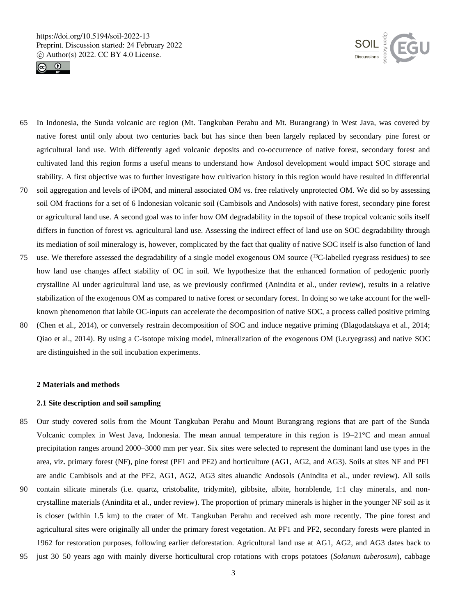



- 65 In Indonesia, the Sunda volcanic arc region (Mt. Tangkuban Perahu and Mt. Burangrang) in West Java, was covered by native forest until only about two centuries back but has since then been largely replaced by secondary pine forest or agricultural land use. With differently aged volcanic deposits and co-occurrence of native forest, secondary forest and cultivated land this region forms a useful means to understand how Andosol development would impact SOC storage and stability. A first objective was to further investigate how cultivation history in this region would have resulted in differential
- 70 soil aggregation and levels of iPOM, and mineral associated OM vs. free relatively unprotected OM. We did so by assessing soil OM fractions for a set of 6 Indonesian volcanic soil (Cambisols and Andosols) with native forest, secondary pine forest or agricultural land use. A second goal was to infer how OM degradability in the topsoil of these tropical volcanic soils itself differs in function of forest vs. agricultural land use. Assessing the indirect effect of land use on SOC degradability through its mediation of soil mineralogy is, however, complicated by the fact that quality of native SOC itself is also function of land
- 75 use. We therefore assessed the degradability of a single model exogenous OM source  $(^{13}C$ -labelled ryegrass residues) to see how land use changes affect stability of OC in soil. We hypothesize that the enhanced formation of pedogenic poorly crystalline Al under agricultural land use, as we previously confirmed (Anindita et al., under review), results in a relative stabilization of the exogenous OM as compared to native forest or secondary forest. In doing so we take account for the wellknown phenomenon that labile OC-inputs can accelerate the decomposition of native SOC, a process called positive priming
- 80 (Chen et al., 2014), or conversely restrain decomposition of SOC and induce negative priming (Blagodatskaya et al., 2014; Qiao et al., 2014). By using a C-isotope mixing model, mineralization of the exogenous OM (i.e.ryegrass) and native SOC are distinguished in the soil incubation experiments.

#### **2 Materials and methods**

## **2.1 Site description and soil sampling**

- 85 Our study covered soils from the Mount Tangkuban Perahu and Mount Burangrang regions that are part of the Sunda Volcanic complex in West Java, Indonesia. The mean annual temperature in this region is 19–21°C and mean annual precipitation ranges around 2000–3000 mm per year. Six sites were selected to represent the dominant land use types in the area, viz. primary forest (NF), pine forest (PF1 and PF2) and horticulture (AG1, AG2, and AG3). Soils at sites NF and PF1 are andic Cambisols and at the PF2, AG1, AG2, AG3 sites aluandic Andosols (Anindita et al., under review). All soils
- 90 contain silicate minerals (i.e. quartz, cristobalite, tridymite), gibbsite, albite, hornblende, 1:1 clay minerals, and noncrystalline materials (Anindita et al., under review). The proportion of primary minerals is higher in the younger NF soil as it is closer (within 1.5 km) to the crater of Mt. Tangkuban Perahu and received ash more recently. The pine forest and agricultural sites were originally all under the primary forest vegetation. At PF1 and PF2, secondary forests were planted in 1962 for restoration purposes, following earlier deforestation. Agricultural land use at AG1, AG2, and AG3 dates back to
- 95 just 30–50 years ago with mainly diverse horticultural crop rotations with crops potatoes (*Solanum tuberosum*), cabbage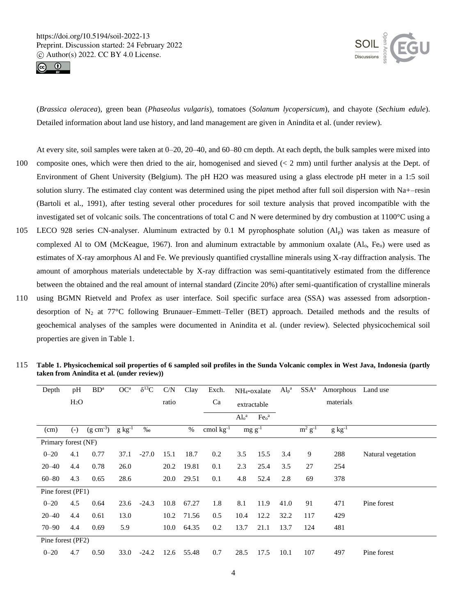



(*Brassica oleracea*), green bean (*Phaseolus vulgaris*), tomatoes (*Solanum lycopersicum*), and chayote (*Sechium edule*). Detailed information about land use history, and land management are given in Anindita et al. (under review).

At every site, soil samples were taken at 0–20, 20–40, and 60–80 cm depth. At each depth, the bulk samples were mixed into 100 composite ones, which were then dried to the air, homogenised and sieved (< 2 mm) until further analysis at the Dept. of Environment of Ghent University (Belgium). The pH H2O was measured using a glass electrode pH meter in a 1:5 soil solution slurry. The estimated clay content was determined using the pipet method after full soil dispersion with Na+–resin (Bartoli et al., 1991), after testing several other procedures for soil texture analysis that proved incompatible with the investigated set of volcanic soils. The concentrations of total C and N were determined by dry combustion at 1100°C using a

- 105 LECO 928 series CN-analyser. Aluminum extracted by 0.1 M pyrophosphate solution (Alp) was taken as measure of complexed Al to OM (McKeague, 1967). Iron and aluminum extractable by ammonium oxalate (Al<sub>o</sub>, Fe<sub>o</sub>) were used as estimates of X-ray amorphous Al and Fe. We previously quantified crystalline minerals using X-ray diffraction analysis. The amount of amorphous materials undetectable by X-ray diffraction was semi-quantitatively estimated from the difference between the obtained and the real amount of internal standard (Zincite 20%) after semi-quantification of crystalline minerals
- 110 using BGMN Rietveld and Profex as user interface. Soil specific surface area (SSA) was assessed from adsorptiondesorption of  $N_2$  at 77°C following Brunauer–Emmett–Teller (BET) approach. Detailed methods and the results of geochemical analyses of the samples were documented in Anindita et al. (under review). Selected physicochemical soil properties are given in Table 1.

| Depth               | pH     | $BD^a$                | OC <sup>a</sup>     | $\delta^{13}C$ | C/N   | Clay  | Exch.          | NH <sub>4</sub> -oxalate     |                              | $Alp^a$ | SSA <sup>a</sup>                 | Amorphous           | Land use           |
|---------------------|--------|-----------------------|---------------------|----------------|-------|-------|----------------|------------------------------|------------------------------|---------|----------------------------------|---------------------|--------------------|
|                     | $H_2O$ |                       |                     |                | ratio |       | Ca             | extractable                  |                              |         |                                  | materials           |                    |
|                     |        |                       |                     |                |       |       |                | Al <sub>o</sub> <sup>a</sup> | Fe <sub>o</sub> <sup>a</sup> |         |                                  |                     |                    |
| (cm)                | $(-)$  | $(g \text{ cm}^{-3})$ | $g \text{ kg}^{-1}$ | %              |       | $\%$  | cmol $kg^{-1}$ |                              | $mg g^{-1}$                  |         | $\overline{m^2}$ g <sup>-1</sup> | $g \text{ kg}^{-1}$ |                    |
| Primary forest (NF) |        |                       |                     |                |       |       |                |                              |                              |         |                                  |                     |                    |
| $0 - 20$            | 4.1    | 0.77                  | 37.1                | $-27.0$        | 15.1  | 18.7  | 0.2            | 3.5                          | 15.5                         | 3.4     | 9                                | 288                 | Natural vegetation |
| $20 - 40$           | 4.4    | 0.78                  | 26.0                |                | 20.2  | 19.81 | 0.1            | 2.3                          | 25.4                         | 3.5     | 27                               | 254                 |                    |
| $60 - 80$           | 4.3    | 0.65                  | 28.6                |                | 20.0  | 29.51 | 0.1            | 4.8                          | 52.4                         | 2.8     | 69                               | 378                 |                    |
| Pine forest (PF1)   |        |                       |                     |                |       |       |                |                              |                              |         |                                  |                     |                    |
| $0 - 20$            | 4.5    | 0.64                  | 23.6                | $-24.3$        | 10.8  | 67.27 | 1.8            | 8.1                          | 11.9                         | 41.0    | 91                               | 471                 | Pine forest        |
| $20 - 40$           | 4.4    | 0.61                  | 13.0                |                | 10.2  | 71.56 | 0.5            | 10.4                         | 12.2                         | 32.2    | 117                              | 429                 |                    |
| $70 - 90$           | 4.4    | 0.69                  | 5.9                 |                | 10.0  | 64.35 | 0.2            | 13.7                         | 21.1                         | 13.7    | 124                              | 481                 |                    |
| Pine forest (PF2)   |        |                       |                     |                |       |       |                |                              |                              |         |                                  |                     |                    |
| $0 - 20$            | 4.7    | 0.50                  | 33.0                | $-24.2$        | 12.6  | 55.48 | 0.7            | 28.5                         | 17.5                         | 10.1    | 107                              | 497                 | Pine forest        |

115 **Table 1. Physicochemical soil properties of 6 sampled soil profiles in the Sunda Volcanic complex in West Java, Indonesia (partly taken from Anindita et al. (under review))**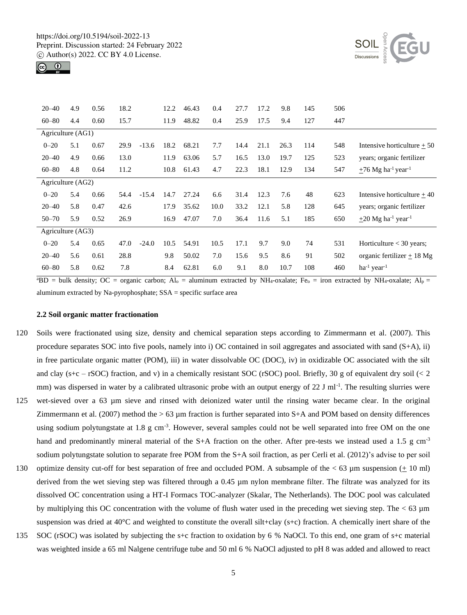



| $20 - 40$         | 4.9 | 0.56 | 18.2 |         | 12.2 | 46.43 | 0.4  | 27.7 | 17.2 | 9.8  | 145 | 506 |                                                 |
|-------------------|-----|------|------|---------|------|-------|------|------|------|------|-----|-----|-------------------------------------------------|
| $60 - 80$         | 4.4 | 0.60 | 15.7 |         | 11.9 | 48.82 | 0.4  | 25.9 | 17.5 | 9.4  | 127 | 447 |                                                 |
| Agriculture (AG1) |     |      |      |         |      |       |      |      |      |      |     |     |                                                 |
| $0 - 20$          | 5.1 | 0.67 | 29.9 | $-13.6$ | 18.2 | 68.21 | 7.7  | 14.4 | 21.1 | 26.3 | 114 | 548 | Intensive horticulture $+50$                    |
| $20 - 40$         | 4.9 | 0.66 | 13.0 |         | 11.9 | 63.06 | 5.7  | 16.5 | 13.0 | 19.7 | 125 | 523 | years; organic fertilizer                       |
| $60 - 80$         | 4.8 | 0.64 | 11.2 |         | 10.8 | 61.43 | 4.7  | 22.3 | 18.1 | 12.9 | 134 | 547 | $\pm 76$ Mg ha <sup>-1</sup> year <sup>-1</sup> |
| Agriculture (AG2) |     |      |      |         |      |       |      |      |      |      |     |     |                                                 |
| $0 - 20$          | 5.4 | 0.66 | 54.4 | $-15.4$ | 14.7 | 27.24 | 6.6  | 31.4 | 12.3 | 7.6  | 48  | 623 | Intensive horticulture $+40$                    |
| $20 - 40$         | 5.8 | 0.47 | 42.6 |         | 17.9 | 35.62 | 10.0 | 33.2 | 12.1 | 5.8  | 128 | 645 | years; organic fertilizer                       |
| $50 - 70$         | 5.9 | 0.52 | 26.9 |         | 16.9 | 47.07 | 7.0  | 36.4 | 11.6 | 5.1  | 185 | 650 | $\pm 20$ Mg ha <sup>-1</sup> year <sup>-1</sup> |
| Agriculture (AG3) |     |      |      |         |      |       |      |      |      |      |     |     |                                                 |
| $0 - 20$          | 5.4 | 0.65 | 47.0 | $-24.0$ | 10.5 | 54.91 | 10.5 | 17.1 | 9.7  | 9.0  | 74  | 531 | Horticulture $<$ 30 years;                      |
| $20 - 40$         | 5.6 | 0.61 | 28.8 |         | 9.8  | 50.02 | 7.0  | 15.6 | 9.5  | 8.6  | 91  | 502 | organic fertilizer $+18$ Mg                     |
| $60 - 80$         | 5.8 | 0.62 | 7.8  |         | 8.4  | 62.81 | 6.0  | 9.1  | 8.0  | 10.7 | 108 | 460 | $ha^{-1}$ year <sup>-1</sup>                    |
|                   |     |      |      |         |      |       |      |      |      |      |     |     |                                                 |

<sup>a</sup>BD = bulk density; OC = organic carbon; Al<sub>o</sub> = aluminum extracted by NH<sub>4</sub>-oxalate; Fe<sub>o</sub> = iron extracted by NH<sub>4</sub>-oxalate; Al<sub>p</sub> = aluminum extracted by Na-pyrophosphate; SSA = specific surface area

#### **2.2 Soil organic matter fractionation**

- 120 Soils were fractionated using size, density and chemical separation steps according to Zimmermann et al. (2007). This procedure separates SOC into five pools, namely into i) OC contained in soil aggregates and associated with sand  $(S+A)$ , ii) in free particulate organic matter (POM), iii) in water dissolvable OC (DOC), iv) in oxidizable OC associated with the silt and clay ( $s+c$  – rSOC) fraction, and v) in a chemically resistant SOC (rSOC) pool. Briefly, 30 g of equivalent dry soil ( $\lt 2$ mm) was dispersed in water by a calibrated ultrasonic probe with an output energy of  $22$  J ml<sup>-1</sup>. The resulting slurries were
- 125 wet-sieved over a 63 µm sieve and rinsed with deionized water until the rinsing water became clear. In the original Zimmermann et al. (2007) method the  $> 63 \mu m$  fraction is further separated into S+A and POM based on density differences using sodium polytungstate at 1.8 g cm<sup>-3</sup>. However, several samples could not be well separated into free OM on the one hand and predominantly mineral material of the S+A fraction on the other. After pre-tests we instead used a 1.5 g cm<sup>-3</sup> sodium polytungstate solution to separate free POM from the S+A soil fraction, as per Cerli et al. (2012)'s advise to per soil
- 130 optimize density cut-off for best separation of free and occluded POM. A subsample of the  $<$  63  $\mu$ m suspension ( $\pm$  10 ml) derived from the wet sieving step was filtered through a 0.45 µm nylon membrane filter. The filtrate was analyzed for its dissolved OC concentration using a HT-I Formacs TOC-analyzer (Skalar, The Netherlands). The DOC pool was calculated by multiplying this OC concentration with the volume of flush water used in the preceding wet sieving step. The  $< 63 \mu m$ suspension was dried at  $40^{\circ}$ C and weighted to constitute the overall silt+clay (s+c) fraction. A chemically inert share of the
- 135 SOC (rSOC) was isolated by subjecting the s+c fraction to oxidation by 6 % NaOCl. To this end, one gram of s+c material was weighted inside a 65 ml Nalgene centrifuge tube and 50 ml 6 % NaOCl adjusted to pH 8 was added and allowed to react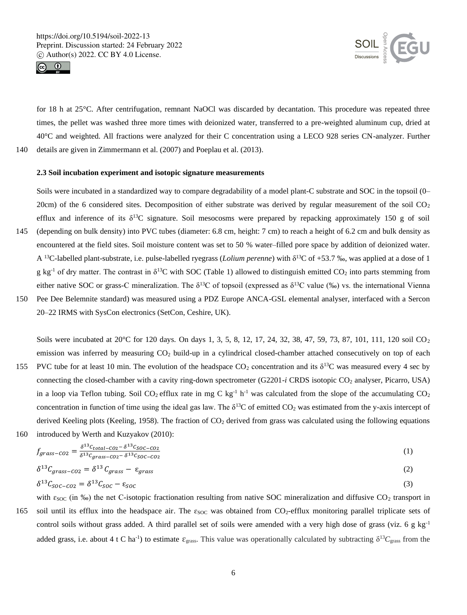



for 18 h at 25°C. After centrifugation, remnant NaOCl was discarded by decantation. This procedure was repeated three times, the pellet was washed three more times with deionized water, transferred to a pre-weighted aluminum cup, dried at 40°C and weighted. All fractions were analyzed for their C concentration using a LECO 928 series CN-analyzer. Further 140 details are given in Zimmermann et al. (2007) and Poeplau et al. (2013).

# **2.3 Soil incubation experiment and isotopic signature measurements**

Soils were incubated in a standardized way to compare degradability of a model plant-C substrate and SOC in the topsoil (0– 20cm) of the 6 considered sites. Decomposition of either substrate was derived by regular measurement of the soil  $CO<sub>2</sub>$ efflux and inference of its  $\delta^{13}C$  signature. Soil mesocosms were prepared by repacking approximately 150 g of soil 145 (depending on bulk density) into PVC tubes (diameter: 6.8 cm, height: 7 cm) to reach a height of 6.2 cm and bulk density as encountered at the field sites. Soil moisture content was set to 50 % water–filled pore space by addition of deionized water. A <sup>13</sup>C-labelled plant-substrate, i.e. pulse-labelled ryegrass (*Lolium perenne*) with δ<sup>13</sup>C of +53.7 ‰, was applied at a dose of 1 g kg<sup>-1</sup> of dry matter. The contrast in  $\delta^{13}$ C with SOC (Table 1) allowed to distinguish emitted CO<sub>2</sub> into parts stemming from either native SOC or grass-C mineralization. The  $\delta^{13}C$  of topsoil (expressed as  $\delta^{13}C$  value (‰) vs. the international Vienna 150 Pee Dee Belemnite standard) was measured using a PDZ Europe ANCA-GSL elemental analyser, interfaced with a Sercon

20–22 IRMS with SysCon electronics (SetCon, Ceshire, UK).

Soils were incubated at 20°C for 120 days. On days 1, 3, 5, 8, 12, 17, 24, 32, 38, 47, 59, 73, 87, 101, 111, 120 soil CO<sub>2</sub> emission was inferred by measuring CO<sub>2</sub> build-up in a cylindrical closed-chamber attached consecutively on top of each 155 PVC tube for at least 10 min. The evolution of the headspace  $CO_2$  concentration and its  $\delta^{13}$ C was measured every 4 sec by connecting the closed-chamber with a cavity ring-down spectrometer (G2201-*i* CRDS isotopic CO<sub>2</sub> analyser, Picarro, USA) in a loop via Teflon tubing. Soil CO<sub>2</sub> efflux rate in mg C kg<sup>-1</sup> h<sup>-1</sup> was calculated from the slope of the accumulating CO<sub>2</sub> concentration in function of time using the ideal gas law. The  $\delta^{13}C$  of emitted CO<sub>2</sub> was estimated from the y-axis intercept of derived Keeling plots (Keeling, 1958). The fraction of  $CO<sub>2</sub>$  derived from grass was calculated using the following equations 160 introduced by Werth and Kuzyakov (2010):

$$
f_{grass-CO2} = \frac{\delta^{13}c_{total-CO2} - \delta^{13}c_{SOC-CO2}}{\delta^{13}c_{grass-CO2} - \delta^{13}c_{SOC-CO2}}\tag{1}
$$

$$
\delta^{13}C_{grass-CO2} = \delta^{13}C_{grass} - \varepsilon_{grass}
$$
 (2)

$$
\delta^{13}C_{SOC-CO2} = \delta^{13}C_{SOC} - \epsilon_{SOC} \tag{3}
$$

 $0.13 -$ 

with  $\varepsilon_{SOC}$  (in ‰) the net C-isotopic fractionation resulting from native SOC mineralization and diffusive CO<sub>2</sub> transport in 165 soil until its efflux into the headspace air. The  $\varepsilon_{SOC}$  was obtained from  $CO_2$ -efflux monitoring parallel triplicate sets of control soils without grass added. A third parallel set of soils were amended with a very high dose of grass (viz. 6 g kg-1 added grass, i.e. about 4 t C ha<sup>-1</sup>) to estimate  $\varepsilon_{\rm grass}$ . This value was operationally calculated by subtracting  $\delta^{13}C_{\rm grass}$  from the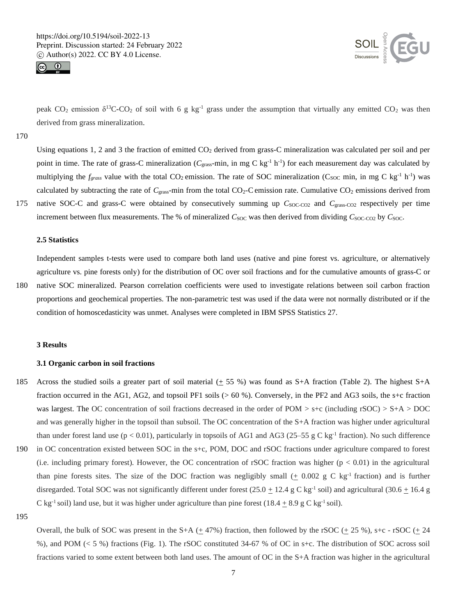



peak  $CO_2$  emission  $\delta^{13}C-CO_2$  of soil with 6 g kg<sup>-1</sup> grass under the assumption that virtually any emitted  $CO_2$  was then derived from grass mineralization.

170

Using equations 1, 2 and 3 the fraction of emitted  $CO<sub>2</sub>$  derived from grass-C mineralization was calculated per soil and per point in time. The rate of grass-C mineralization (C<sub>grass</sub>-min, in mg C kg<sup>-1</sup> h<sup>-1</sup>) for each measurement day was calculated by multiplying the  $f_{grass}$  value with the total CO<sub>2</sub> emission. The rate of SOC mineralization (C<sub>SOC</sub> min, in mg C kg<sup>-1</sup> h<sup>-1</sup>) was calculated by subtracting the rate of  $C_{\text{grass}}$ -min from the total CO<sub>2</sub>-C emission rate. Cumulative CO<sub>2</sub> emissions derived from 175 native SOC-C and grass-C were obtained by consecutively summing up  $C_{\text{SOC-CO2}}$  and  $C_{\text{grass-CO2}}$  respectively per time

increment between flux measurements. The % of mineralized  $C_{SOC}$  was then derived from dividing  $C_{SOC-CO2}$  by  $C_{SOC}$ .

#### **2.5 Statistics**

Independent samples t-tests were used to compare both land uses (native and pine forest vs. agriculture, or alternatively agriculture vs. pine forests only) for the distribution of OC over soil fractions and for the cumulative amounts of grass-C or 180 native SOC mineralized. Pearson correlation coefficients were used to investigate relations between soil carbon fraction proportions and geochemical properties. The non-parametric test was used if the data were not normally distributed or if the

condition of homoscedasticity was unmet. Analyses were completed in IBM SPSS Statistics 27.

#### **3 Results**

#### **3.1 Organic carbon in soil fractions**

- 185 Across the studied soils a greater part of soil material  $(+ 55 %)$  was found as S+A fraction (Table 2). The highest S+A fraction occurred in the AG1, AG2, and topsoil PF1 soils (> 60 %). Conversely, in the PF2 and AG3 soils, the s+c fraction was largest. The OC concentration of soil fractions decreased in the order of POM  $>$  s+c (including rSOC)  $>$  S+A  $>$  DOC and was generally higher in the topsoil than subsoil. The OC concentration of the S+A fraction was higher under agricultural than under forest land use ( $p < 0.01$ ), particularly in topsoils of AG1 and AG3 (25–55 g C kg<sup>-1</sup> fraction). No such difference
- 190 in OC concentration existed between SOC in the s+c, POM, DOC and rSOC fractions under agriculture compared to forest (i.e. including primary forest). However, the OC concentration of rSOC fraction was higher  $(p < 0.01)$  in the agricultural than pine forests sites. The size of the DOC fraction was negligibly small  $(± 0.002 g C kg<sup>-1</sup> fraction)$  and is further disregarded. Total SOC was not significantly different under forest  $(25.0 \pm 12.4 \text{ g C kg}^{-1} \text{ soil})$  and agricultural  $(30.6 \pm 16.4 \text{ g C K})$ C kg<sup>-1</sup> soil) land use, but it was higher under agriculture than pine forest (18.4  $\pm$  8.9 g C kg<sup>-1</sup> soil).

195

Overall, the bulk of SOC was present in the S+A ( $+$  47%) fraction, then followed by the rSOC ( $+$  25 %), s+c - rSOC ( $+$  24 %), and POM (< 5 %) fractions (Fig. 1). The rSOC constituted 34-67 % of OC in s+c. The distribution of SOC across soil fractions varied to some extent between both land uses. The amount of OC in the S+A fraction was higher in the agricultural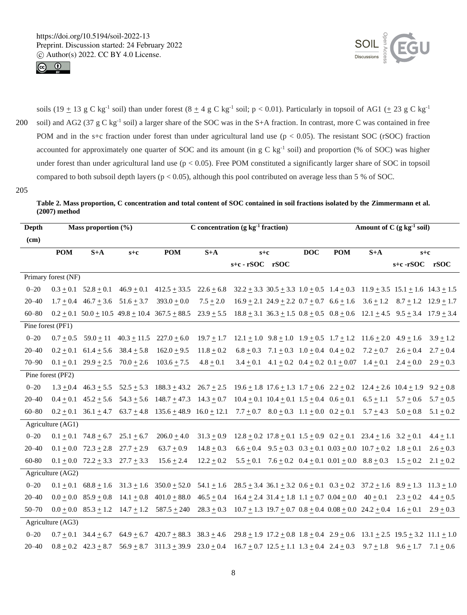



soils (19  $\pm$  13 g C kg<sup>-1</sup> soil) than under forest (8  $\pm$  4 g C kg<sup>-1</sup> soil; p < 0.01). Particularly in topsoil of AG1 ( $\pm$  23 g C kg<sup>-1</sup> 200 soil) and AG2 (37 g C kg<sup>-1</sup> soil) a larger share of the SOC was in the S+A fraction. In contrast, more C was contained in free POM and in the s+c fraction under forest than under agricultural land use  $(p < 0.05)$ . The resistant SOC (rSOC) fraction accounted for approximately one quarter of SOC and its amount (in  $g C kg<sup>-1</sup> soil$ ) and proportion (% of SOC) was higher under forest than under agricultural land use  $(p < 0.05)$ . Free POM constituted a significantly larger share of SOC in topsoil compared to both subsoil depth layers ( $p < 0.05$ ), although this pool contributed on average less than 5 % of SOC.

205

**Table 2. Mass proportion, C concentration and total content of SOC contained in soil fractions isolated by the Zimmermann et al. (2007) method**

| Depth           |                     | Mass proportion (%)                         |                                             |                                                                                                                                                                                     | C concentration $(g \ kg^{-1}$ fraction) |                                                                            | Amount of $C$ (g kg <sup>-1</sup> soil) |                  |                                                                        |                                                                                        |                                                                                                     |               |
|-----------------|---------------------|---------------------------------------------|---------------------------------------------|-------------------------------------------------------------------------------------------------------------------------------------------------------------------------------------|------------------------------------------|----------------------------------------------------------------------------|-----------------------------------------|------------------|------------------------------------------------------------------------|----------------------------------------------------------------------------------------|-----------------------------------------------------------------------------------------------------|---------------|
| $\epsilon$ (cm) |                     |                                             |                                             |                                                                                                                                                                                     |                                          |                                                                            |                                         |                  |                                                                        |                                                                                        |                                                                                                     |               |
|                 | <b>POM</b>          | $S+A$<br>$s+c$                              |                                             | <b>POM</b>                                                                                                                                                                          | $S+A$                                    | $s+c$                                                                      |                                         | $\overline{DOC}$ | <b>POM</b>                                                             | $S+A$                                                                                  | $s+c$                                                                                               |               |
|                 |                     |                                             |                                             |                                                                                                                                                                                     |                                          | s+c - rSOC rSOC                                                            |                                         |                  |                                                                        |                                                                                        | s+c-rSOC rSOC                                                                                       |               |
|                 | Primary forest (NF) |                                             |                                             |                                                                                                                                                                                     |                                          |                                                                            |                                         |                  |                                                                        |                                                                                        |                                                                                                     |               |
| $0 - 20$        |                     |                                             |                                             | $0.3 \pm 0.1$ $52.8 \pm 0.1$ $46.9 \pm 0.1$ $412.5 \pm 33.5$ $22.6 \pm 6.8$ $32.2 \pm 3.3$ $30.5 \pm 3.3$ $1.0 \pm 0.5$ $1.4 \pm 0.3$ $11.9 \pm 3.5$ $15.1 \pm 1.6$ $14.3 \pm 1.5$  |                                          |                                                                            |                                         |                  |                                                                        |                                                                                        |                                                                                                     |               |
| $20 - 40$       |                     |                                             | $1.7 \pm 0.4$ 46.7 $\pm 3.6$ 51.6 $\pm 3.7$ | $393.0 + 0.0$                                                                                                                                                                       | $7.5 \pm 2.0$                            | $16.9 + 2.1$ 24.9 + 2.2 0.7 + 0.7 6.6 + 1.6 3.6 + 1.2 8.7 + 1.2 12.9 + 1.7 |                                         |                  |                                                                        |                                                                                        |                                                                                                     |               |
| $60 - 80$       |                     |                                             |                                             | $0.2 \pm 0.1$ $50.0 \pm 10.5$ $49.8 \pm 10.4$ $367.5 \pm 88.5$ $23.9 \pm 5.5$ $18.8 \pm 3.1$ $36.3 \pm 1.5$ $0.8 \pm 0.5$ $0.8 \pm 0.6$ $12.1 \pm 4.5$ $9.5 \pm 3.4$ $17.9 \pm 3.4$ |                                          |                                                                            |                                         |                  |                                                                        |                                                                                        |                                                                                                     |               |
|                 | Pine forest (PF1)   |                                             |                                             |                                                                                                                                                                                     |                                          |                                                                            |                                         |                  |                                                                        |                                                                                        |                                                                                                     |               |
| $0 - 20$        |                     | $0.7 + 0.5$ 59.0 + 11                       |                                             | $40.3 \pm 11.5$ $227.0 \pm 6.0$                                                                                                                                                     | $19.7 + 1.7$                             |                                                                            |                                         |                  |                                                                        |                                                                                        | $12.1 \pm 1.0$ $9.8 \pm 1.0$ $1.9 \pm 0.5$ $1.7 \pm 1.2$ $11.6 \pm 2.0$ $4.9 \pm 1.6$ $3.9 \pm 1.2$ |               |
| $20 - 40$       |                     | $0.2 \pm 0.1$ 61.4 $\pm$ 5.6 38.4 $\pm$ 5.8 |                                             | $162.0 + 9.5$                                                                                                                                                                       | $11.8 \pm 0.2$                           |                                                                            |                                         |                  | $6.8 \pm 0.3$ $7.1 \pm 0.3$ $1.0 \pm 0.4$ $0.4 \pm 0.2$ $7.2 \pm 0.7$  |                                                                                        | $2.6 + 0.4$                                                                                         | $2.7 + 0.4$   |
| $70 - 90$       |                     | $0.1 \pm 0.1$ $29.9 \pm 2.5$                | $70.0 \pm 2.6$                              | $103.6 \pm 7.5$                                                                                                                                                                     | $4.8 \pm 0.1$                            |                                                                            |                                         |                  | $3.4 \pm 0.1$ $4.1 \pm 0.2$ $0.4 \pm 0.2$ $0.1 \pm 0.07$ $1.4 \pm 0.1$ |                                                                                        | $2.4 + 0.0$                                                                                         | $2.9 + 0.3$   |
|                 | Pine forest (PF2)   |                                             |                                             |                                                                                                                                                                                     |                                          |                                                                            |                                         |                  |                                                                        |                                                                                        |                                                                                                     |               |
| $0 - 20$        |                     |                                             |                                             | $1.3 \pm 0.4$ $46.3 \pm 5.5$ $52.5 \pm 5.3$ $188.3 \pm 43.2$ $26.7 \pm 2.5$ $19.6 \pm 1.8$ $17.6 \pm 1.3$ $1.7 \pm 0.6$ $2.2 \pm 0.2$ $12.4 \pm 2.6$ $10.4 \pm 1.9$ $9.2 \pm 0.8$   |                                          |                                                                            |                                         |                  |                                                                        |                                                                                        |                                                                                                     |               |
| $20 - 40$       |                     | $0.4 \pm 0.1$ 45.2 $\pm$ 5.6                |                                             | $54.3 \pm 5.6$ $148.7 \pm 47.3$ $14.3 \pm 0.7$ $10.4 \pm 0.1$ $10.4 \pm 0.1$ $1.5 \pm 0.4$ $0.6 \pm 0.1$ $6.5 \pm 1.1$ $5.7 \pm 0.6$                                                |                                          |                                                                            |                                         |                  |                                                                        |                                                                                        |                                                                                                     | $5.7 \pm 0.5$ |
| $60 - 80$       |                     |                                             |                                             | $0.2 \pm 0.1$ $36.1 \pm 4.7$ $63.7 \pm 4.8$ $135.6 \pm 48.9$ $16.0 \pm 12.1$ $7.7 \pm 0.7$ $8.0 \pm 0.3$ $1.1 \pm 0.0$ $0.2 \pm 0.1$ $5.7 \pm 4.3$ $5.0 \pm 0.8$ $5.1 \pm 0.2$      |                                          |                                                                            |                                         |                  |                                                                        |                                                                                        |                                                                                                     |               |
|                 | Agriculture (AG1)   |                                             |                                             |                                                                                                                                                                                     |                                          |                                                                            |                                         |                  |                                                                        |                                                                                        |                                                                                                     |               |
| $0 - 20$        |                     | $0.1 \pm 0.1$ 74.8 $\pm$ 6.7                | $25.1 + 6.7$                                | $206.0 + 4.0$                                                                                                                                                                       | $31.3 + 0.9$                             |                                                                            |                                         |                  |                                                                        | $12.8 \pm 0.2$ $17.8 \pm 0.1$ $1.5 \pm 0.9$ $0.2 \pm 0.1$ $23.4 \pm 1.6$ $3.2 \pm 0.1$ |                                                                                                     | $4.4 \pm 1.1$ |
| $20 - 40$       |                     | $0.1 + 0.0$ $72.3 + 2.8$ $27.7 + 2.9$       |                                             | $63.7 \pm 0.9$                                                                                                                                                                      | $14.8 + 0.3$                             |                                                                            |                                         |                  |                                                                        | $6.6 \pm 0.4$ $9.5 \pm 0.3$ $0.3 \pm 0.1$ $0.03 \pm 0.0$ $10.7 \pm 0.2$ $1.8 \pm 0.1$  |                                                                                                     | $2.6 \pm 0.3$ |
| 60-80           |                     | $0.1 + 0.0$ $72.2 + 3.3$ $27.7 + 3.3$       |                                             | $15.6 \pm 2.4$                                                                                                                                                                      | $12.2 \pm 0.2$                           |                                                                            |                                         |                  |                                                                        | $5.5 \pm 0.1$ $7.6 \pm 0.2$ $0.4 \pm 0.1$ $0.01 \pm 0.0$ $8.8 \pm 0.3$ $1.5 \pm 0.2$   |                                                                                                     | $2.1 \pm 0.2$ |
|                 | Agriculture (AG2)   |                                             |                                             |                                                                                                                                                                                     |                                          |                                                                            |                                         |                  |                                                                        |                                                                                        |                                                                                                     |               |
| $0 - 20$        |                     |                                             |                                             | $0.1 \pm 0.1$ 68.8 $\pm$ 1.6 31.3 $\pm$ 1.6 350.0 $\pm$ 52.0 54.1 $\pm$ 1.6 28.5 $\pm$ 3.4 36.1 $\pm$ 3.2 0.6 $\pm$ 0.1 0.3 $\pm$ 0.2 37.2 $\pm$ 1.6 8.9 $\pm$ 1.3 11.3 $\pm$ 1.0   |                                          |                                                                            |                                         |                  |                                                                        |                                                                                        |                                                                                                     |               |
| $20 - 40$       |                     | $0.0 + 0.0$ 85.9 + 0.8                      | $14.1 + 0.8$                                | $401.0 + 88.0$ $46.5 + 0.4$ $16.4 + 2.4$ $31.4 + 1.8$ $1.1 + 0.7$ $0.04 + 0.0$ $40 + 0.1$                                                                                           |                                          |                                                                            |                                         |                  |                                                                        |                                                                                        | $2.3 \pm 0.2$                                                                                       | $4.4 \pm 0.5$ |
| $50 - 70$       |                     | $0.0 + 0.0$ $85.3 + 1.2$                    |                                             | $14.7 \pm 1.2$ 587.5 $\pm$ 240 28.3 $\pm$ 0.3 10.7 $\pm$ 1.3 19.7 $\pm$ 0.7 0.8 $\pm$ 0.4 0.08 $\pm$ 0.0 24.2 $\pm$ 0.4 1.6 $\pm$ 0.1                                               |                                          |                                                                            |                                         |                  |                                                                        |                                                                                        |                                                                                                     | $2.9 \pm 0.3$ |
|                 | Agriculture (AG3)   |                                             |                                             |                                                                                                                                                                                     |                                          |                                                                            |                                         |                  |                                                                        |                                                                                        |                                                                                                     |               |
| $0 - 20$        |                     |                                             |                                             | $0.7 \pm 0.1$ $34.4 \pm 6.7$ $64.9 \pm 6.7$ $420.7 \pm 88.3$ $38.3 \pm 4.6$ $29.8 \pm 1.9$ $17.2 \pm 0.8$ $1.8 \pm 0.4$ $2.9 \pm 0.6$ $13.1 \pm 2.5$ $19.5 \pm 3.2$ $11.1 \pm 1.0$  |                                          |                                                                            |                                         |                  |                                                                        |                                                                                        |                                                                                                     |               |
| $20 - 40$       |                     |                                             |                                             | $0.8 \pm 0.2$ $42.3 \pm 8.7$ $56.9 \pm 8.7$ $311.3 \pm 39.9$ $23.0 \pm 0.4$ $16.7 \pm 0.7$ $12.5 \pm 1.1$ $1.3 \pm 0.4$ $2.4 \pm 0.3$ $9.7 \pm 1.8$ $9.6 \pm 1.7$ $7.1 \pm 0.6$     |                                          |                                                                            |                                         |                  |                                                                        |                                                                                        |                                                                                                     |               |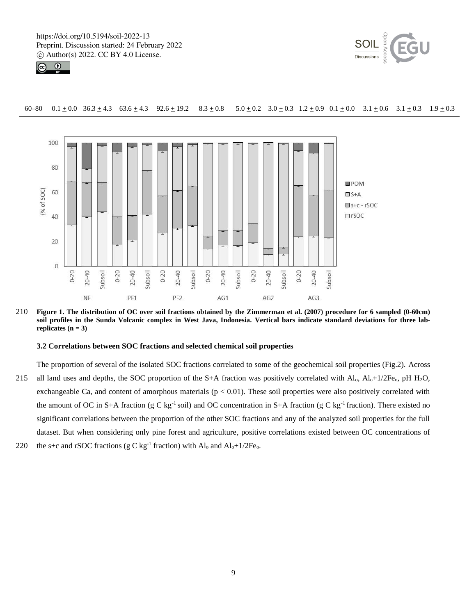



# 60–80 0.1  $\pm$  0.0 36.3  $\pm$  4.3 63.6  $\pm$  4.3 92.6  $\pm$  19.2 8.3  $\pm$  0.8 5.0  $\pm$  0.2 3.0  $\pm$  0.3 1.2  $\pm$  0.9 0.1  $\pm$  0.0 3.1  $\pm$  0.6 3.1  $\pm$  0.3 1.9  $\pm$  0.3



210 **Figure 1. The distribution of OC over soil fractions obtained by the Zimmerman et al. (2007) procedure for 6 sampled (0-60cm) soil profiles in the Sunda Volcanic complex in West Java, Indonesia. Vertical bars indicate standard deviations for three labreplicates (n = 3)**

### **3.2 Correlations between SOC fractions and selected chemical soil properties**

- The proportion of several of the isolated SOC fractions correlated to some of the geochemical soil properties (Fig.2). Across 215 all land uses and depths, the SOC proportion of the S+A fraction was positively correlated with  $Al_0$ ,  $Al_0+1/2Fe_0$ , pH H<sub>2</sub>O, exchangeable Ca, and content of amorphous materials  $(p < 0.01)$ . These soil properties were also positively correlated with the amount of OC in S+A fraction (g C kg<sup>-1</sup> soil) and OC concentration in S+A fraction (g C kg<sup>-1</sup> fraction). There existed no significant correlations between the proportion of the other SOC fractions and any of the analyzed soil properties for the full dataset. But when considering only pine forest and agriculture, positive correlations existed between OC concentrations of
- 220 the s+c and rSOC fractions (g C kg<sup>-1</sup> fraction) with  $Al_0$  and  $Al_0+1/2Fe_0$ .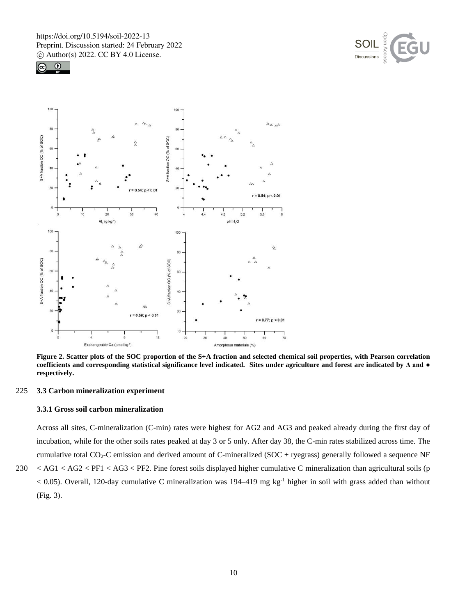





**Figure 2. Scatter plots of the SOC proportion of the S+A fraction and selected chemical soil properties, with Pearson correlation coefficients and corresponding statistical significance level indicated. Sites under agriculture and forest are indicated by Δ and ● respectively.**

# 225 **3.3 Carbon mineralization experiment**

# **3.3.1 Gross soil carbon mineralization**

Across all sites, C-mineralization (C-min) rates were highest for AG2 and AG3 and peaked already during the first day of incubation, while for the other soils rates peaked at day 3 or 5 only. After day 38, the C-min rates stabilized across time. The cumulative total  $CO_2$ -C emission and derived amount of C-mineralized (SOC + ryegrass) generally followed a sequence NF 230 < AG1 < AG2 < PF1 < AG3 < PF2. Pine forest soils displayed higher cumulative C mineralization than agricultural soils (p  $<$  0.05). Overall, 120-day cumulative C mineralization was 194-419 mg kg<sup>-1</sup> higher in soil with grass added than without (Fig. 3).

10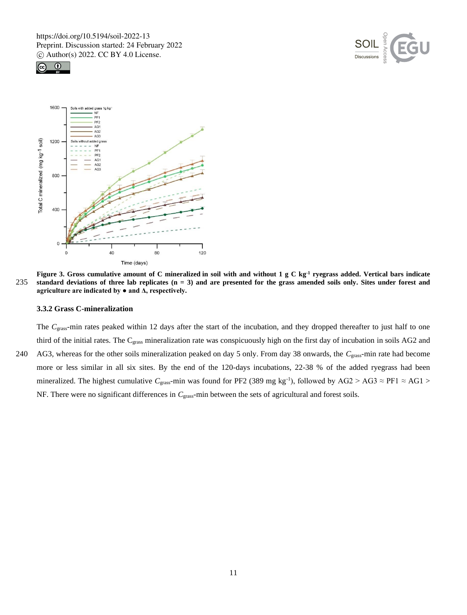





**Figure 3. Gross cumulative amount of C mineralized in soil with and without 1 g C kg-1 ryegrass added. Vertical bars indicate**  235 **standard deviations of three lab replicates (n = 3) and are presented for the grass amended soils only. Sites under forest and**  agriculture are indicated by  $\bullet$  and  $\Delta$ , respectively.

# **3.3.2 Grass C-mineralization**

The *C*grass-min rates peaked within 12 days after the start of the incubation, and they dropped thereafter to just half to one third of the initial rates. The C<sub>grass</sub> mineralization rate was conspicuously high on the first day of incubation in soils AG2 and 240 AG3, whereas for the other soils mineralization peaked on day 5 only. From day 38 onwards, the *C*grass-min rate had become more or less similar in all six sites. By the end of the 120-days incubations, 22-38 % of the added ryegrass had been mineralized. The highest cumulative  $C_{\text{grass}}$ -min was found for PF2 (389 mg kg<sup>-1</sup>), followed by AG2 > AG3  $\approx$  PF1  $\approx$  AG1 > NF. There were no significant differences in *C*<sub>grass</sub>-min between the sets of agricultural and forest soils.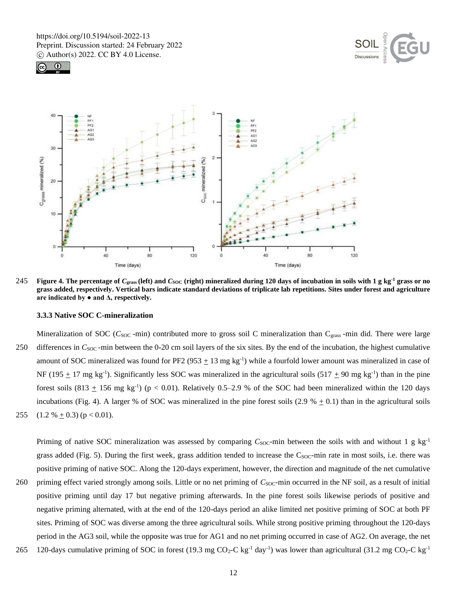





245 **Figure 4.** The percentage of  $C_{\text{grass}}$  (left) and  $C_{\text{SOC}}$  (right) mineralized during 120 days of incubation in soils with 1 g kg<sup>-1</sup> grass or no **grass added, respectively. Vertical bars indicate standard deviations of triplicate lab repetitions. Sites under forest and agriculture are indicated by ● and Δ, respectively.**

#### **3.3.3 Native SOC C-mineralization**

Mineralization of SOC ( $C_{SOC}$ -min) contributed more to gross soil C mineralization than  $C_{\text{grass}}$ -min did. There were large 250 differences in *C*<sub>SOC</sub>-min between the 0-20 cm soil layers of the six sites. By the end of the incubation, the highest cumulative amount of SOC mineralized was found for PF2 (953  $\pm$  13 mg kg<sup>-1</sup>) while a fourfold lower amount was mineralized in case of NF (195  $\pm$  17 mg kg<sup>-1</sup>). Significantly less SOC was mineralized in the agricultural soils (517  $\pm$  90 mg kg<sup>-1</sup>) than in the pine forest soils  $(813 + 156 \text{ mg kg}^{-1})$  ( $p < 0.01$ ). Relatively 0.5–2.9 % of the SOC had been mineralized within the 120 days incubations (Fig. 4). A larger % of SOC was mineralized in the pine forest soils (2.9 %  $\pm$  0.1) than in the agricultural soils 255 (1.2 %  $\pm$  0.3) (p < 0.01).

Priming of native SOC mineralization was assessed by comparing *C*<sub>SOC</sub>-min between the soils with and without 1 g kg<sup>-1</sup> grass added (Fig. 5). During the first week, grass addition tended to increase the C<sub>SOC</sub>-min rate in most soils, i.e. there was positive priming of native SOC. Along the 120-days experiment, however, the direction and magnitude of the net cumulative

- 260 priming effect varied strongly among soils. Little or no net priming of *C*<sub>SOC</sub>-min occurred in the NF soil, as a result of initial positive priming until day 17 but negative priming afterwards. In the pine forest soils likewise periods of positive and negative priming alternated, with at the end of the 120-days period an alike limited net positive priming of SOC at both PF sites. Priming of SOC was diverse among the three agricultural soils. While strong positive priming throughout the 120-days period in the AG3 soil, while the opposite was true for AG1 and no net priming occurred in case of AG2. On average, the net
- 265 120-days cumulative priming of SOC in forest (19.3 mg CO<sub>2</sub>-C kg<sup>-1</sup> day<sup>-1</sup>) was lower than agricultural (31.2 mg CO<sub>2</sub>-C kg<sup>-1</sup>)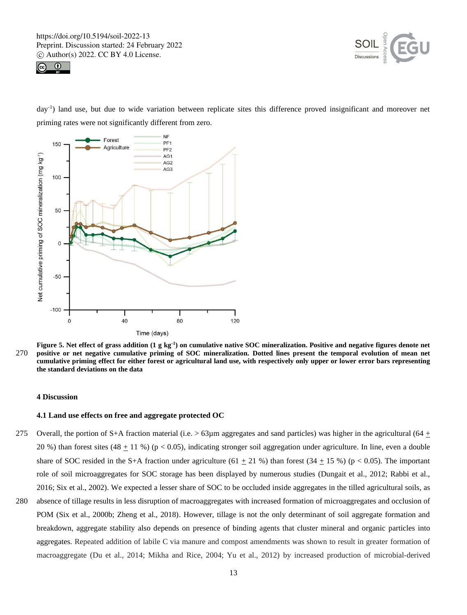



day-1 ) land use, but due to wide variation between replicate sites this difference proved insignificant and moreover net priming rates were not significantly different from zero.



**Figure 5. Net effect of grass addition (1 g kg-1 ) on cumulative native SOC mineralization. Positive and negative figures denote net**  270 **positive or net negative cumulative priming of SOC mineralization. Dotted lines present the temporal evolution of mean net cumulative priming effect for either forest or agricultural land use, with respectively only upper or lower error bars representing the standard deviations on the data**

# **4 Discussion**

## **4.1 Land use effects on free and aggregate protected OC**

- 275 Overall, the portion of S+A fraction material (i.e.  $> 63\mu$ m aggregates and sand particles) was higher in the agricultural (64  $\pm$ 20 %) than forest sites (48  $\pm$  11 %) (p < 0.05), indicating stronger soil aggregation under agriculture. In line, even a double share of SOC resided in the S+A fraction under agriculture (61  $\pm$  21 %) than forest (34  $\pm$  15 %) (p < 0.05). The important role of soil microaggregates for SOC storage has been displayed by numerous studies (Dungait et al., 2012; Rabbi et al., 2016; Six et al., 2002). We expected a lesser share of SOC to be occluded inside aggregates in the tilled agricultural soils, as
- 280 absence of tillage results in less disruption of macroaggregates with increased formation of microaggregates and occlusion of POM (Six et al., 2000b; Zheng et al., 2018). However, tillage is not the only determinant of soil aggregate formation and breakdown, aggregate stability also depends on presence of binding agents that cluster mineral and organic particles into aggregates. Repeated addition of labile C via manure and compost amendments was shown to result in greater formation of macroaggregate (Du et al., 2014; Mikha and Rice, 2004; Yu et al., 2012) by increased production of microbial-derived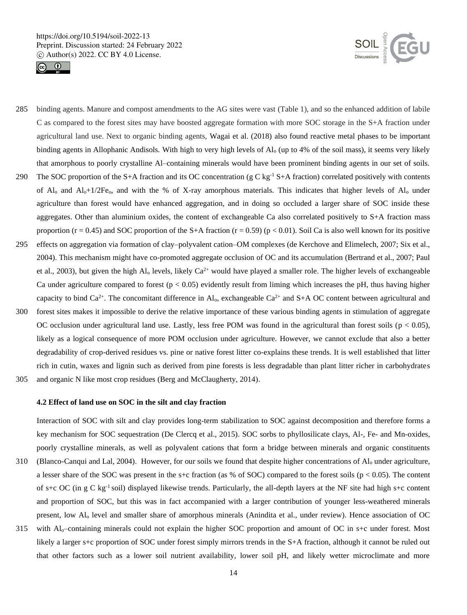



- 285 binding agents. Manure and compost amendments to the AG sites were vast (Table 1), and so the enhanced addition of labile C as compared to the forest sites may have boosted aggregate formation with more SOC storage in the S+A fraction under agricultural land use. Next to organic binding agents, Wagai et al. (2018) also found reactive metal phases to be important binding agents in Allophanic Andisols. With high to very high levels of  $Al_0$  (up to 4% of the soil mass), it seems very likely that amorphous to poorly crystalline Al–containing minerals would have been prominent binding agents in our set of soils.
- 290 The SOC proportion of the S+A fraction and its OC concentration (g C kg<sup>-1</sup> S+A fraction) correlated positively with contents of  $Al_0$  and  $Al_0+1/2Fe_0$ , and with the % of X-ray amorphous materials. This indicates that higher levels of  $Al_0$  under agriculture than forest would have enhanced aggregation, and in doing so occluded a larger share of SOC inside these aggregates. Other than aluminium oxides, the content of exchangeable Ca also correlated positively to S+A fraction mass proportion ( $r = 0.45$ ) and SOC proportion of the S+A fraction ( $r = 0.59$ ) ( $p < 0.01$ ). Soil Ca is also well known for its positive
- 295 effects on aggregation via formation of clay–polyvalent cation–OM complexes (de Kerchove and Elimelech, 2007; Six et al., 2004). This mechanism might have co-promoted aggregate occlusion of OC and its accumulation (Bertrand et al., 2007; Paul et al., 2003), but given the high Al<sub>o</sub> levels, likely  $Ca^{2+}$  would have played a smaller role. The higher levels of exchangeable Ca under agriculture compared to forest ( $p < 0.05$ ) evidently result from liming which increases the pH, thus having higher capacity to bind  $Ca^{2+}$ . The concomitant difference in Al<sub>o</sub>, exchangeable  $Ca^{2+}$  and S+A OC content between agricultural and
- 300 forest sites makes it impossible to derive the relative importance of these various binding agents in stimulation of aggregate OC occlusion under agricultural land use. Lastly, less free POM was found in the agricultural than forest soils ( $p < 0.05$ ), likely as a logical consequence of more POM occlusion under agriculture. However, we cannot exclude that also a better degradability of crop-derived residues vs. pine or native forest litter co-explains these trends. It is well established that litter rich in cutin, waxes and lignin such as derived from pine forests is less degradable than plant litter richer in carbohydrates
- 305 and organic N like most crop residues (Berg and McClaugherty, 2014).

# **4.2 Effect of land use on SOC in the silt and clay fraction**

Interaction of SOC with silt and clay provides long-term stabilization to SOC against decomposition and therefore forms a key mechanism for SOC sequestration (De Clercq et al., 2015). SOC sorbs to phyllosilicate clays, Al-, Fe- and Mn-oxides, poorly crystalline minerals, as well as polyvalent cations that form a bridge between minerals and organic constituents 310 (Blanco-Canqui and Lal, 2004). However, for our soils we found that despite higher concentrations of Al<sup>o</sup> under agriculture, a lesser share of the SOC was present in the s+c fraction (as % of SOC) compared to the forest soils ( $p < 0.05$ ). The content of s+c OC (in g C kg<sup>-1</sup> soil) displayed likewise trends. Particularly, the all-depth layers at the NF site had high s+c content and proportion of SOC, but this was in fact accompanied with a larger contribution of younger less-weathered minerals present, low Al<sup>o</sup> level and smaller share of amorphous minerals (Anindita et al., under review). Hence association of OC

315 with Alo–containing minerals could not explain the higher SOC proportion and amount of OC in s+c under forest. Most likely a larger s+c proportion of SOC under forest simply mirrors trends in the S+A fraction, although it cannot be ruled out that other factors such as a lower soil nutrient availability, lower soil pH, and likely wetter microclimate and more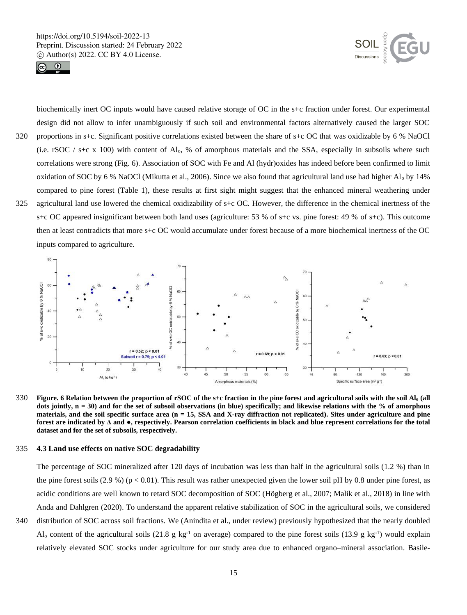



biochemically inert OC inputs would have caused relative storage of OC in the s+c fraction under forest. Our experimental design did not allow to infer unambiguously if such soil and environmental factors alternatively caused the larger SOC 320 proportions in s+c. Significant positive correlations existed between the share of s+c OC that was oxidizable by 6 % NaOCl (i.e. rSOC / s+c x 100) with content of Al<sub>o</sub>, % of amorphous materials and the SSA, especially in subsoils where such correlations were strong (Fig. 6). Association of SOC with Fe and Al (hydr)oxides has indeed before been confirmed to limit

oxidation of SOC by 6 % NaOCl (Mikutta et al., 2006). Since we also found that agricultural land use had higher  $Al_0$  by 14% compared to pine forest (Table 1), these results at first sight might suggest that the enhanced mineral weathering under 325 agricultural land use lowered the chemical oxidizability of s+c OC. However, the difference in the chemical inertness of the s+c OC appeared insignificant between both land uses (agriculture: 53 % of s+c vs. pine forest: 49 % of s+c). This outcome then at least contradicts that more s+c OC would accumulate under forest because of a more biochemical inertness of the OC inputs compared to agriculture.



330 **Figure. 6 Relation between the proportion of rSOC of the s+c fraction in the pine forest and agricultural soils with the soil Al<sup>o</sup> (all dots jointly, n = 30) and for the set of subsoil observations (in blue) specifically; and likewise relations with the % of amorphous materials, and the soil specific surface area (n = 15, SSA and X-ray diffraction not replicated). Sites under agriculture and pine forest are indicated by Δ and ●, respectively. Pearson correlation coefficients in black and blue represent correlations for the total dataset and for the set of subsoils, respectively.**

#### 335 **4.3 Land use effects on native SOC degradability**

The percentage of SOC mineralized after 120 days of incubation was less than half in the agricultural soils (1.2 %) than in the pine forest soils  $(2.9\%)$  (p < 0.01). This result was rather unexpected given the lower soil pH by 0.8 under pine forest, as acidic conditions are well known to retard SOC decomposition of SOC (Högberg et al., 2007; Malik et al., 2018) in line with Anda and Dahlgren (2020). To understand the apparent relative stabilization of SOC in the agricultural soils, we considered 340 distribution of SOC across soil fractions. We (Anindita et al., under review) previously hypothesized that the nearly doubled Al<sub>o</sub> content of the agricultural soils (21.8 g kg<sup>-1</sup> on average) compared to the pine forest soils (13.9 g kg<sup>-1</sup>) would explain relatively elevated SOC stocks under agriculture for our study area due to enhanced organo–mineral association. Basile-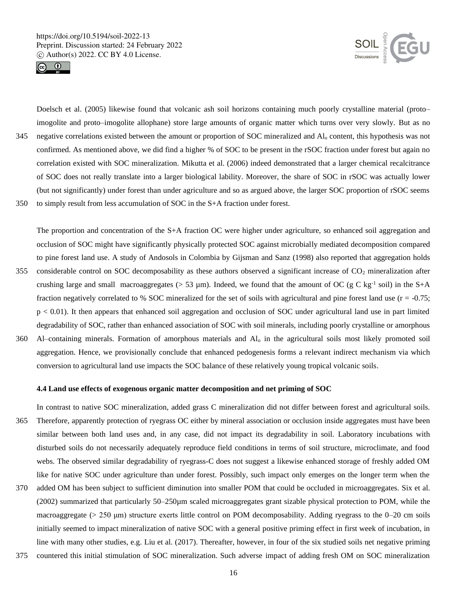



Doelsch et al. (2005) likewise found that volcanic ash soil horizons containing much poorly crystalline material (proto– imogolite and proto–imogolite allophane) store large amounts of organic matter which turns over very slowly. But as no 345 negative correlations existed between the amount or proportion of SOC mineralized and Al<sup>o</sup> content, this hypothesis was not confirmed. As mentioned above, we did find a higher % of SOC to be present in the rSOC fraction under forest but again no correlation existed with SOC mineralization. Mikutta et al. (2006) indeed demonstrated that a larger chemical recalcitrance of SOC does not really translate into a larger biological lability. Moreover, the share of SOC in rSOC was actually lower (but not significantly) under forest than under agriculture and so as argued above, the larger SOC proportion of rSOC seems 350 to simply result from less accumulation of SOC in the S+A fraction under forest.

The proportion and concentration of the S+A fraction OC were higher under agriculture, so enhanced soil aggregation and occlusion of SOC might have significantly physically protected SOC against microbially mediated decomposition compared to pine forest land use. A study of Andosols in Colombia by Gijsman and Sanz (1998) also reported that aggregation holds 355 considerable control on SOC decomposability as these authors observed a significant increase of  $CO<sub>2</sub>$  mineralization after crushing large and small macroaggregates ( $> 53 \mu$ m). Indeed, we found that the amount of OC (g C kg<sup>-1</sup> soil) in the S+A fraction negatively correlated to % SOC mineralized for the set of soils with agricultural and pine forest land use  $(r = -0.75$ ; p < 0.01). It then appears that enhanced soil aggregation and occlusion of SOC under agricultural land use in part limited degradability of SOC, rather than enhanced association of SOC with soil minerals, including poorly crystalline or amorphous 360 Al–containing minerals. Formation of amorphous materials and Al<sup>o</sup> in the agricultural soils most likely promoted soil aggregation. Hence, we provisionally conclude that enhanced pedogenesis forms a relevant indirect mechanism via which

conversion to agricultural land use impacts the SOC balance of these relatively young tropical volcanic soils.

# **4.4 Land use effects of exogenous organic matter decomposition and net priming of SOC**

- In contrast to native SOC mineralization, added grass C mineralization did not differ between forest and agricultural soils. 365 Therefore, apparently protection of ryegrass OC either by mineral association or occlusion inside aggregates must have been similar between both land uses and, in any case, did not impact its degradability in soil. Laboratory incubations with disturbed soils do not necessarily adequately reproduce field conditions in terms of soil structure, microclimate, and food webs. The observed similar degradability of ryegrass-C does not suggest a likewise enhanced storage of freshly added OM like for native SOC under agriculture than under forest. Possibly, such impact only emerges on the longer term when the 370 added OM has been subject to sufficient diminution into smaller POM that could be occluded in microaggregates. Six et al. (2002) summarized that particularly 50–250µm scaled microaggregates grant sizable physical protection to POM, while the macroaggregate ( $> 250 \mu m$ ) structure exerts little control on POM decomposability. Adding ryegrass to the 0–20 cm soils initially seemed to impact mineralization of native SOC with a general positive priming effect in first week of incubation, in
- 375 countered this initial stimulation of SOC mineralization. Such adverse impact of adding fresh OM on SOC mineralization

line with many other studies, e.g. Liu et al. (2017). Thereafter, however, in four of the six studied soils net negative priming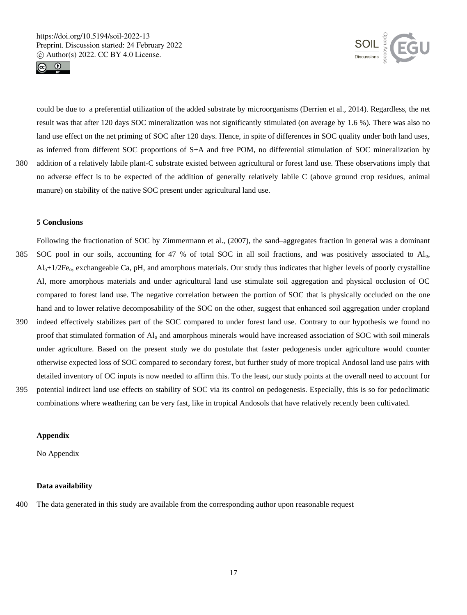



could be due to a preferential utilization of the added substrate by microorganisms (Derrien et al., 2014). Regardless, the net result was that after 120 days SOC mineralization was not significantly stimulated (on average by 1.6 %). There was also no land use effect on the net priming of SOC after 120 days. Hence, in spite of differences in SOC quality under both land uses, as inferred from different SOC proportions of S+A and free POM, no differential stimulation of SOC mineralization by 380 addition of a relatively labile plant-C substrate existed between agricultural or forest land use. These observations imply that no adverse effect is to be expected of the addition of generally relatively labile C (above ground crop residues, animal manure) on stability of the native SOC present under agricultural land use.

# **5 Conclusions**

- Following the fractionation of SOC by Zimmermann et al., (2007), the sand–aggregates fraction in general was a dominant 385 SOC pool in our soils, accounting for 47 % of total SOC in all soil fractions, and was positively associated to Alo,  $Al_0+1/2Fe_0$ , exchangeable Ca, pH, and amorphous materials. Our study thus indicates that higher levels of poorly crystalline Al, more amorphous materials and under agricultural land use stimulate soil aggregation and physical occlusion of OC compared to forest land use. The negative correlation between the portion of SOC that is physically occluded on the one hand and to lower relative decomposability of the SOC on the other, suggest that enhanced soil aggregation under cropland 390 indeed effectively stabilizes part of the SOC compared to under forest land use. Contrary to our hypothesis we found no proof that stimulated formation of Al<sup>o</sup> and amorphous minerals would have increased association of SOC with soil minerals under agriculture. Based on the present study we do postulate that faster pedogenesis under agriculture would counter otherwise expected loss of SOC compared to secondary forest, but further study of more tropical Andosol land use pairs with
- 395 potential indirect land use effects on stability of SOC via its control on pedogenesis. Especially, this is so for pedoclimatic combinations where weathering can be very fast, like in tropical Andosols that have relatively recently been cultivated.

detailed inventory of OC inputs is now needed to affirm this. To the least, our study points at the overall need to account for

# **Appendix**

No Appendix

# **Data availability**

400 The data generated in this study are available from the corresponding author upon reasonable request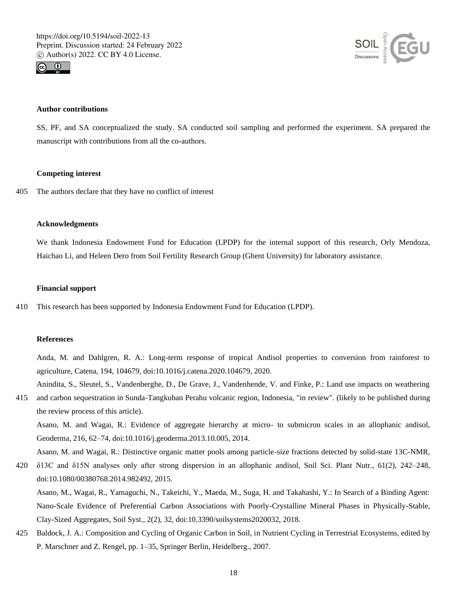



## **Author contributions**

SS, PF, and SA conceptualized the study. SA conducted soil sampling and performed the experiment. SA prepared the manuscript with contributions from all the co-authors.

## **Competing interest**

405 The authors declare that they have no conflict of interest

# **Acknowledgments**

We thank Indonesia Endowment Fund for Education (LPDP) for the internal support of this research, Orly Mendoza, Haichao Li, and Heleen Dero from Soil Fertility Research Group (Ghent University) for laboratory assistance.

## **Financial support**

410 This research has been supported by Indonesia Endowment Fund for Education (LPDP).

# **References**

Anda, M. and Dahlgren, R. A.: Long-term response of tropical Andisol properties to conversion from rainforest to agriculture, Catena, 194, 104679, doi:10.1016/j.catena.2020.104679, 2020.

Anindita, S., Sleutel, S., Vandenberghe, D., De Grave, J., Vandenhende, V. and Finke, P.: Land use impacts on weathering

415 and carbon sequestration in Sunda-Tangkuban Perahu volcanic region, Indonesia, "in review". (likely to be published during the review process of this article).

Asano, M. and Wagai, R.: Evidence of aggregate hierarchy at micro- to submicron scales in an allophanic andisol, Geoderma, 216, 62–74, doi:10.1016/j.geoderma.2013.10.005, 2014.

Asano, M. and Wagai, R.: Distinctive organic matter pools among particle-size fractions detected by solid-state 13C-NMR,

420 δ13C and δ15N analyses only after strong dispersion in an allophanic andisol, Soil Sci. Plant Nutr., 61(2), 242–248, doi:10.1080/00380768.2014.982492, 2015.

Asano, M., Wagai, R., Yamaguchi, N., Takeichi, Y., Maeda, M., Suga, H. and Takahashi, Y.: In Search of a Binding Agent: Nano-Scale Evidence of Preferential Carbon Associations with Poorly-Crystalline Mineral Phases in Physically-Stable, Clay-Sized Aggregates, Soil Syst., 2(2), 32, doi:10.3390/soilsystems2020032, 2018.

425 Baldock, J. A.: Composition and Cycling of Organic Carbon in Soil, in Nutrient Cycling in Terrestrial Ecosystems, edited by P. Marschner and Z. Rengel, pp. 1–35, Springer Berlin, Heidelberg., 2007.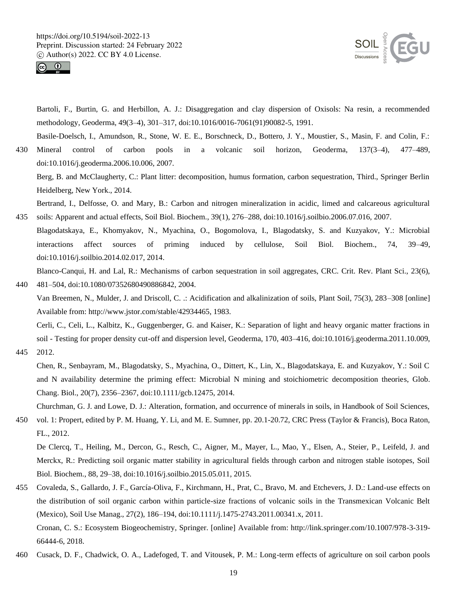



Bartoli, F., Burtin, G. and Herbillon, A. J.: Disaggregation and clay dispersion of Oxisols: Na resin, a recommended methodology, Geoderma, 49(3–4), 301–317, doi:10.1016/0016-7061(91)90082-5, 1991.

Basile-Doelsch, I., Amundson, R., Stone, W. E. E., Borschneck, D., Bottero, J. Y., Moustier, S., Masin, F. and Colin, F.: 430 Mineral control of carbon pools in a volcanic soil horizon, Geoderma, 137(3–4), 477–489, doi:10.1016/j.geoderma.2006.10.006, 2007.

Berg, B. and McClaugherty, C.: Plant litter: decomposition, humus formation, carbon sequestration, Third., Springer Berlin Heidelberg, New York., 2014.

Bertrand, I., Delfosse, O. and Mary, B.: Carbon and nitrogen mineralization in acidic, limed and calcareous agricultural 435 soils: Apparent and actual effects, Soil Biol. Biochem., 39(1), 276–288, doi:10.1016/j.soilbio.2006.07.016, 2007.

Blagodatskaya, E., Khomyakov, N., Myachina, O., Bogomolova, I., Blagodatsky, S. and Kuzyakov, Y.: Microbial interactions affect sources of priming induced by cellulose, Soil Biol. Biochem., 74, 39–49, doi:10.1016/j.soilbio.2014.02.017, 2014.

Blanco-Canqui, H. and Lal, R.: Mechanisms of carbon sequestration in soil aggregates, CRC. Crit. Rev. Plant Sci., 23(6), 440 481–504, doi:10.1080/07352680490886842, 2004.

Van Breemen, N., Mulder, J. and Driscoll, C. .: Acidification and alkalinization of soils, Plant Soil, 75(3), 283–308 [online] Available from: http://www.jstor.com/stable/42934465, 1983.

Cerli, C., Celi, L., Kalbitz, K., Guggenberger, G. and Kaiser, K.: Separation of light and heavy organic matter fractions in soil - Testing for proper density cut-off and dispersion level, Geoderma, 170, 403–416, doi:10.1016/j.geoderma.2011.10.009, 445 2012.

Chen, R., Senbayram, M., Blagodatsky, S., Myachina, O., Dittert, K., Lin, X., Blagodatskaya, E. and Kuzyakov, Y.: Soil C and N availability determine the priming effect: Microbial N mining and stoichiometric decomposition theories, Glob. Chang. Biol., 20(7), 2356–2367, doi:10.1111/gcb.12475, 2014.

Churchman, G. J. and Lowe, D. J.: Alteration, formation, and occurrence of minerals in soils, in Handbook of Soil Sciences,

450 vol. 1: Propert, edited by P. M. Huang, Y. Li, and M. E. Sumner, pp. 20.1-20.72, CRC Press (Taylor & Francis), Boca Raton, FL., 2012.

De Clercq, T., Heiling, M., Dercon, G., Resch, C., Aigner, M., Mayer, L., Mao, Y., Elsen, A., Steier, P., Leifeld, J. and Merckx, R.: Predicting soil organic matter stability in agricultural fields through carbon and nitrogen stable isotopes, Soil Biol. Biochem., 88, 29–38, doi:10.1016/j.soilbio.2015.05.011, 2015.

- 455 Covaleda, S., Gallardo, J. F., García-Oliva, F., Kirchmann, H., Prat, C., Bravo, M. and Etchevers, J. D.: Land-use effects on the distribution of soil organic carbon within particle-size fractions of volcanic soils in the Transmexican Volcanic Belt (Mexico), Soil Use Manag., 27(2), 186–194, doi:10.1111/j.1475-2743.2011.00341.x, 2011. Cronan, C. S.: Ecosystem Biogeochemistry, Springer. [online] Available from: http://link.springer.com/10.1007/978-3-319- 66444-6, 2018.
- 460 Cusack, D. F., Chadwick, O. A., Ladefoged, T. and Vitousek, P. M.: Long-term effects of agriculture on soil carbon pools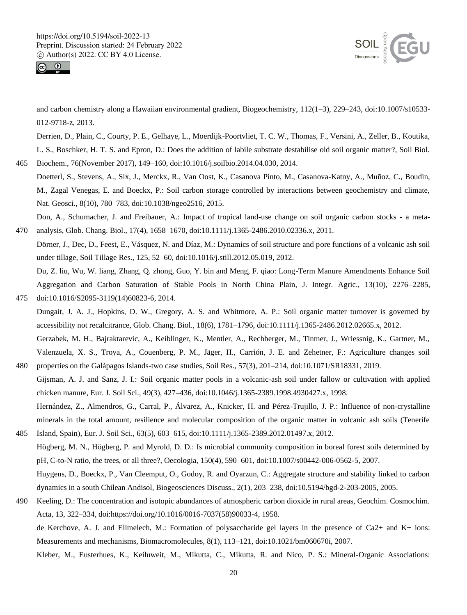



and carbon chemistry along a Hawaiian environmental gradient, Biogeochemistry, 112(1–3), 229–243, doi:10.1007/s10533- 012-9718-z, 2013.

Derrien, D., Plain, C., Courty, P. E., Gelhaye, L., Moerdijk-Poortvliet, T. C. W., Thomas, F., Versini, A., Zeller, B., Koutika, L. S., Boschker, H. T. S. and Epron, D.: Does the addition of labile substrate destabilise old soil organic matter?, Soil Biol. 465 Biochem., 76(November 2017), 149–160, doi:10.1016/j.soilbio.2014.04.030, 2014.

Doetterl, S., Stevens, A., Six, J., Merckx, R., Van Oost, K., Casanova Pinto, M., Casanova-Katny, A., Muñoz, C., Boudin, M., Zagal Venegas, E. and Boeckx, P.: Soil carbon storage controlled by interactions between geochemistry and climate, Nat. Geosci., 8(10), 780–783, doi:10.1038/ngeo2516, 2015.

Don, A., Schumacher, J. and Freibauer, A.: Impact of tropical land-use change on soil organic carbon stocks - a meta-470 analysis, Glob. Chang. Biol., 17(4), 1658–1670, doi:10.1111/j.1365-2486.2010.02336.x, 2011.

Dörner, J., Dec, D., Feest, E., Vásquez, N. and Díaz, M.: Dynamics of soil structure and pore functions of a volcanic ash soil under tillage, Soil Tillage Res., 125, 52–60, doi:10.1016/j.still.2012.05.019, 2012.

Du, Z. liu, Wu, W. liang, Zhang, Q. zhong, Guo, Y. bin and Meng, F. qiao: Long-Term Manure Amendments Enhance Soil Aggregation and Carbon Saturation of Stable Pools in North China Plain, J. Integr. Agric., 13(10), 2276–2285, 475 doi:10.1016/S2095-3119(14)60823-6, 2014.

- Dungait, J. A. J., Hopkins, D. W., Gregory, A. S. and Whitmore, A. P.: Soil organic matter turnover is governed by accessibility not recalcitrance, Glob. Chang. Biol., 18(6), 1781–1796, doi:10.1111/j.1365-2486.2012.02665.x, 2012. Gerzabek, M. H., Bajraktarevic, A., Keiblinger, K., Mentler, A., Rechberger, M., Tintner, J., Wriessnig, K., Gartner, M.,
- Valenzuela, X. S., Troya, A., Couenberg, P. M., Jäger, H., Carrión, J. E. and Zehetner, F.: Agriculture changes soil 480 properties on the Galápagos Islands-two case studies, Soil Res., 57(3), 201–214, doi:10.1071/SR18331, 2019.
- Gijsman, A. J. and Sanz, J. I.: Soil organic matter pools in a volcanic-ash soil under fallow or cultivation with applied chicken manure, Eur. J. Soil Sci., 49(3), 427–436, doi:10.1046/j.1365-2389.1998.4930427.x, 1998. Hernández, Z., Almendros, G., Carral, P., Álvarez, A., Knicker, H. and Pérez-Trujillo, J. P.: Influence of non-crystalline

minerals in the total amount, resilience and molecular composition of the organic matter in volcanic ash soils (Tenerife 485 Island, Spain), Eur. J. Soil Sci., 63(5), 603–615, doi:10.1111/j.1365-2389.2012.01497.x, 2012.

Högberg, M. N., Högberg, P. and Myrold, D. D.: Is microbial community composition in boreal forest soils determined by pH, C-to-N ratio, the trees, or all three?, Oecologia, 150(4), 590–601, doi:10.1007/s00442-006-0562-5, 2007. Huygens, D., Boeckx, P., Van Cleemput, O., Godoy, R. and Oyarzun, C.: Aggregate structure and stability linked to carbon

dynamics in a south Chilean Andisol, Biogeosciences Discuss., 2(1), 203–238, doi:10.5194/bgd-2-203-2005, 2005.

490 Keeling, D.: The concentration and isotopic abundances of atmospheric carbon dioxide in rural areas, Geochim. Cosmochim. Acta, 13, 322–334, doi:https://doi.org/10.1016/0016-7037(58)90033-4, 1958.

de Kerchove, A. J. and Elimelech, M.: Formation of polysaccharide gel layers in the presence of Ca2+ and K+ ions: Measurements and mechanisms, Biomacromolecules, 8(1), 113–121, doi:10.1021/bm060670i, 2007.

Kleber, M., Eusterhues, K., Keiluweit, M., Mikutta, C., Mikutta, R. and Nico, P. S.: Mineral-Organic Associations: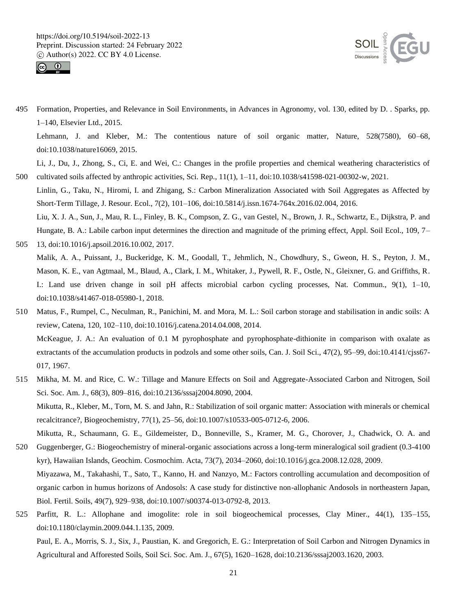



495 Formation, Properties, and Relevance in Soil Environments, in Advances in Agronomy, vol. 130, edited by D. . Sparks, pp. 1–140, Elsevier Ltd., 2015.

Lehmann, J. and Kleber, M.: The contentious nature of soil organic matter, Nature, 528(7580), 60–68, doi:10.1038/nature16069, 2015.

Li, J., Du, J., Zhong, S., Ci, E. and Wei, C.: Changes in the profile properties and chemical weathering characteristics of 500 cultivated soils affected by anthropic activities, Sci. Rep., 11(1), 1–11, doi:10.1038/s41598-021-00302-w, 2021.

- Linlin, G., Taku, N., Hiromi, I. and Zhigang, S.: Carbon Mineralization Associated with Soil Aggregates as Affected by Short-Term Tillage, J. Resour. Ecol., 7(2), 101–106, doi:10.5814/j.issn.1674-764x.2016.02.004, 2016. Liu, X. J. A., Sun, J., Mau, R. L., Finley, B. K., Compson, Z. G., van Gestel, N., Brown, J. R., Schwartz, E., Dijkstra, P. and Hungate, B. A.: Labile carbon input determines the direction and magnitude of the priming effect, Appl. Soil Ecol., 109, 7–
- 505 13, doi:10.1016/j.apsoil.2016.10.002, 2017. Malik, A. A., Puissant, J., Buckeridge, K. M., Goodall, T., Jehmlich, N., Chowdhury, S., Gweon, H. S., Peyton, J. M., Mason, K. E., van Agtmaal, M., Blaud, A., Clark, I. M., Whitaker, J., Pywell, R. F., Ostle, N., Gleixner, G. and Griffiths, R. I.: Land use driven change in soil pH affects microbial carbon cycling processes, Nat. Commun., 9(1), 1–10, doi:10.1038/s41467-018-05980-1, 2018.
- 510 Matus, F., Rumpel, C., Neculman, R., Panichini, M. and Mora, M. L.: Soil carbon storage and stabilisation in andic soils: A review, Catena, 120, 102–110, doi:10.1016/j.catena.2014.04.008, 2014. McKeague, J. A.: An evaluation of 0.1 M pyrophosphate and pyrophosphate-dithionite in comparison with oxalate as extractants of the accumulation products in podzols and some other soils, Can. J. Soil Sci., 47(2), 95–99, doi:10.4141/cjss67- 017, 1967.
- 515 Mikha, M. M. and Rice, C. W.: Tillage and Manure Effects on Soil and Aggregate-Associated Carbon and Nitrogen, Soil Sci. Soc. Am. J., 68(3), 809–816, doi:10.2136/sssaj2004.8090, 2004. Mikutta, R., Kleber, M., Torn, M. S. and Jahn, R.: Stabilization of soil organic matter: Association with minerals or chemical recalcitrance?, Biogeochemistry, 77(1), 25–56, doi:10.1007/s10533-005-0712-6, 2006. Mikutta, R., Schaumann, G. E., Gildemeister, D., Bonneville, S., Kramer, M. G., Chorover, J., Chadwick, O. A. and
- 520 Guggenberger, G.: Biogeochemistry of mineral-organic associations across a long-term mineralogical soil gradient (0.3-4100 kyr), Hawaiian Islands, Geochim. Cosmochim. Acta, 73(7), 2034–2060, doi:10.1016/j.gca.2008.12.028, 2009. Miyazawa, M., Takahashi, T., Sato, T., Kanno, H. and Nanzyo, M.: Factors controlling accumulation and decomposition of organic carbon in humus horizons of Andosols: A case study for distinctive non-allophanic Andosols in northeastern Japan,
- 525 Parfitt, R. L.: Allophane and imogolite: role in soil biogeochemical processes, Clay Miner., 44(1), 135–155, doi:10.1180/claymin.2009.044.1.135, 2009.

Biol. Fertil. Soils, 49(7), 929–938, doi:10.1007/s00374-013-0792-8, 2013.

Paul, E. A., Morris, S. J., Six, J., Paustian, K. and Gregorich, E. G.: Interpretation of Soil Carbon and Nitrogen Dynamics in Agricultural and Afforested Soils, Soil Sci. Soc. Am. J., 67(5), 1620–1628, doi:10.2136/sssaj2003.1620, 2003.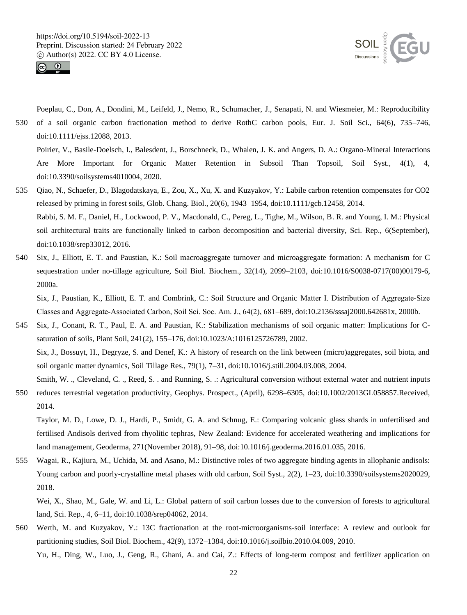



Poeplau, C., Don, A., Dondini, M., Leifeld, J., Nemo, R., Schumacher, J., Senapati, N. and Wiesmeier, M.: Reproducibility 530 of a soil organic carbon fractionation method to derive RothC carbon pools, Eur. J. Soil Sci., 64(6), 735–746, doi:10.1111/ejss.12088, 2013.

Poirier, V., Basile-Doelsch, I., Balesdent, J., Borschneck, D., Whalen, J. K. and Angers, D. A.: Organo-Mineral Interactions Are More Important for Organic Matter Retention in Subsoil Than Topsoil, Soil Syst., 4(1), 4, doi:10.3390/soilsystems4010004, 2020.

- 535 Qiao, N., Schaefer, D., Blagodatskaya, E., Zou, X., Xu, X. and Kuzyakov, Y.: Labile carbon retention compensates for CO2 released by priming in forest soils, Glob. Chang. Biol., 20(6), 1943–1954, doi:10.1111/gcb.12458, 2014. Rabbi, S. M. F., Daniel, H., Lockwood, P. V., Macdonald, C., Pereg, L., Tighe, M., Wilson, B. R. and Young, I. M.: Physical soil architectural traits are functionally linked to carbon decomposition and bacterial diversity, Sci. Rep., 6(September), doi:10.1038/srep33012, 2016.
- 540 Six, J., Elliott, E. T. and Paustian, K.: Soil macroaggregate turnover and microaggregate formation: A mechanism for C sequestration under no-tillage agriculture, Soil Biol. Biochem., 32(14), 2099–2103, doi:10.1016/S0038-0717(00)00179-6, 2000a.

Six, J., Paustian, K., Elliott, E. T. and Combrink, C.: Soil Structure and Organic Matter I. Distribution of Aggregate‐Size Classes and Aggregate‐Associated Carbon, Soil Sci. Soc. Am. J., 64(2), 681–689, doi:10.2136/sssaj2000.642681x, 2000b.

- 545 Six, J., Conant, R. T., Paul, E. A. and Paustian, K.: Stabilization mechanisms of soil organic matter: Implications for Csaturation of soils, Plant Soil, 241(2), 155–176, doi:10.1023/A:1016125726789, 2002. Six, J., Bossuyt, H., Degryze, S. and Denef, K.: A history of research on the link between (micro)aggregates, soil biota, and soil organic matter dynamics, Soil Tillage Res., 79(1), 7–31, doi:10.1016/j.still.2004.03.008, 2004. Smith, W. ., Cleveland, C. ., Reed, S. . and Running, S. .: Agricultural conversion without external water and nutrient inputs
- 550 reduces terrestrial vegetation productivity, Geophys. Prospect., (April), 6298–6305, doi:10.1002/2013GL058857.Received, 2014.

Taylor, M. D., Lowe, D. J., Hardi, P., Smidt, G. A. and Schnug, E.: Comparing volcanic glass shards in unfertilised and fertilised Andisols derived from rhyolitic tephras, New Zealand: Evidence for accelerated weathering and implications for land management, Geoderma, 271(November 2018), 91–98, doi:10.1016/j.geoderma.2016.01.035, 2016.

555 Wagai, R., Kajiura, M., Uchida, M. and Asano, M.: Distinctive roles of two aggregate binding agents in allophanic andisols: Young carbon and poorly-crystalline metal phases with old carbon, Soil Syst., 2(2), 1–23, doi:10.3390/soilsystems2020029, 2018.

Wei, X., Shao, M., Gale, W. and Li, L.: Global pattern of soil carbon losses due to the conversion of forests to agricultural land, Sci. Rep., 4, 6–11, doi:10.1038/srep04062, 2014.

560 Werth, M. and Kuzyakov, Y.: 13C fractionation at the root-microorganisms-soil interface: A review and outlook for partitioning studies, Soil Biol. Biochem., 42(9), 1372–1384, doi:10.1016/j.soilbio.2010.04.009, 2010.

Yu, H., Ding, W., Luo, J., Geng, R., Ghani, A. and Cai, Z.: Effects of long-term compost and fertilizer application on